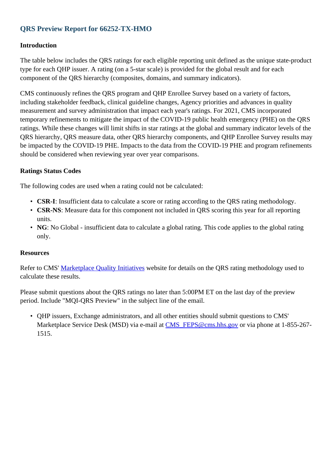## **QRS Preview Report for 66252-TX-HMO**

### **Introduction**

The table below includes the QRS ratings for each eligible reporting unit defined as the unique state-product type for each QHP issuer. A rating (on a 5-star scale) is provided for the global result and for each component of the QRS hierarchy (composites, domains, and summary indicators).

CMS continuously refines the QRS program and QHP Enrollee Survey based on a variety of factors, including stakeholder feedback, clinical guideline changes, Agency priorities and advances in quality measurement and survey administration that impact each year's ratings. For 2021, CMS incorporated temporary refinements to mitigate the impact of the COVID-19 public health emergency (PHE) on the QRS ratings. While these changes will limit shifts in star ratings at the global and summary indicator levels of the QRS hierarchy, QRS measure data, other QRS hierarchy components, and QHP Enrollee Survey results may be impacted by the COVID-19 PHE. Impacts to the data from the COVID-19 PHE and program refinements should be considered when reviewing year over year comparisons.

### **Ratings Status Codes**

The following codes are used when a rating could not be calculated:

- **CSR-I**: Insufficient data to calculate a score or rating according to the QRS rating methodology.
- CSR-NS: Measure data for this component not included in QRS scoring this year for all reporting units.
- NG: No Global insufficient data to calculate a global rating. This code applies to the global rating only.

#### **Resources**

Refer to CMS' [Marketplace Quality Initiatives](http://www.cms.gov/Medicare/Quality-Initiatives-Patient-Assessment-Instruments/QualityInitiativesGenInfo/Health-Insurance-Marketplace-Quality-Initiatives.html) website for details on the QRS rating methodology used to calculate these results.

Please submit questions about the QRS ratings no later than 5:00PM ET on the last day of the preview period. Include "MQI-QRS Preview" in the subject line of the email.

QHP issuers, Exchange administrators, and all other entities should submit questions to CMS' •Marketplace Service Desk (MSD) via e-mail at CMS FEPS@cms.hhs.gov or via phone at 1-855-267-1515.